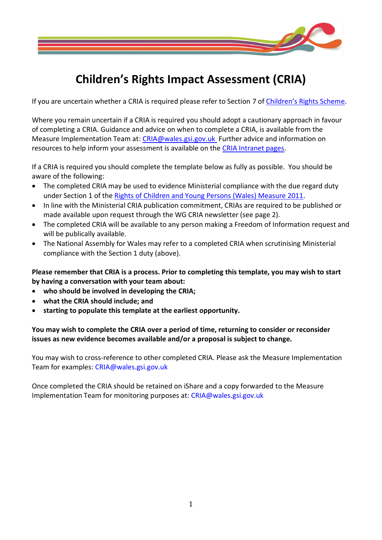

# **Children's Rights Impact Assessment (CRIA)**

If you are uncertain whether a CRIA is required please refer to Section 7 of [Children's Rights](http://gov.wales/docs/dsjlg/publications/cyp/140501-childrens-rights-scheme-2014-en.pdf) Scheme.

Where you remain uncertain if a CRIA is required you should adopt a cautionary approach in favour of completing a CRIA. Guidance and advice on when to complete a CRIA, is available from the Measure Implementation Team at: [CRIA@wales.gsi.gov.uk](mailto:CRIA@wales.gsi.gov.uk) Further advice and information on resources to help inform your assessment is available on the [CRIA Intranet pages.](http://intranet/English/PolicyDelivery/AppraisingPolicy/Social/Pages/ChildrensRights.aspx)

If a CRIA is required you should complete the template below as fully as possible. You should be aware of the following:

- The completed CRIA may be used to evidence Ministerial compliance with the due regard duty under Section 1 of the [Rights of Children and Young Persons \(Wales\) Measure 2011.](http://www.assembly.wales/en/bus-home/bus-third-assembly/bus-legislation-third-assembly/bus-leg-measures/business-legislation-measures-rightsofchildren/Pages/business-legislation-measures-rightsofchildren.aspx)
- In line with the Ministerial CRIA publication commitment, CRIAs are required to be published or made available upon request through the WG CRIA newsletter (see page 2).
- The completed CRIA will be available to any person making a Freedom of Information request and will be publically available.
- The National Assembly for Wales may refer to a completed CRIA when scrutinising Ministerial compliance with the Section 1 duty (above).

**Please remember that CRIA is a process. Prior to completing this template, you may wish to start by having a conversation with your team about:**

- **who should be involved in developing the CRIA;**
- **what the CRIA should include; and**
- **starting to populate this template at the earliest opportunity.**

**You may wish to complete the CRIA over a period of time, returning to consider or reconsider issues as new evidence becomes available and/or a proposal is subject to change.** 

You may wish to cross-reference to other completed CRIA. Please ask the Measure Implementation Team for examples: [CRIA@wales.gsi.gov.uk](mailto:CRIA@wales.gsi.gov.uk)

Once completed the CRIA should be retained on iShare and a copy forwarded to the Measure Implementation Team for monitoring purposes at: CRIA@wales.gsi.gov.uk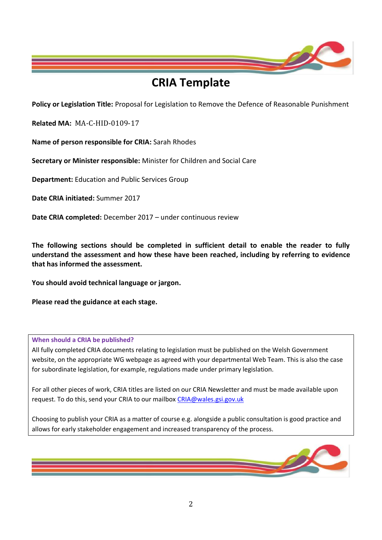

# **CRIA Template**

**Policy or Legislation Title:** Proposal for Legislation to Remove the Defence of Reasonable Punishment

**Related MA:** MA-C-HID-0109-17

**Name of person responsible for CRIA:** Sarah Rhodes

**Secretary or Minister responsible:** Minister for Children and Social Care

**Department:** Education and Public Services Group

**Date CRIA initiated:** Summer 2017

**Date CRIA completed:** December 2017 – under continuous review

**The following sections should be completed in sufficient detail to enable the reader to fully understand the assessment and how these have been reached, including by referring to evidence that has informed the assessment.** 

**You should avoid technical language or jargon.** 

**Please read the guidance at each stage.** 

#### **When should a CRIA be published?**

All fully completed CRIA documents relating to legislation must be published on the Welsh Government website, on the appropriate WG webpage as agreed with your departmental Web Team. This is also the case for subordinate legislation, for example, regulations made under primary legislation.

For all other pieces of work, CRIA titles are listed on our CRIA Newsletter and must be made available upon request. To do this, send your CRIA to our mailbox [CRIA@wales.gsi.gov.uk](mailto:CRIA@wales.gsi.gov.uk)

Choosing to publish your CRIA as a matter of course e.g. alongside a public consultation is good practice and allows for early stakeholder engagement and increased transparency of the process.

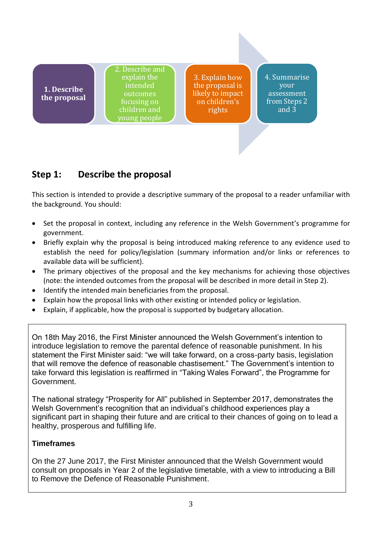**1. Describe the proposal** 2. Describe and explain the intended outcomes focusing on children and young people

3. Explain how the proposal is likely to impact on children's rights

4. Summarise your assessment from Steps 2 and 3

# **Step 1: Describe the proposal**

This section is intended to provide a descriptive summary of the proposal to a reader unfamiliar with the background. You should:

- Set the proposal in context, including any reference in the Welsh Government's programme for government.
- Briefly explain why the proposal is being introduced making reference to any evidence used to establish the need for policy/legislation (summary information and/or links or references to available data will be sufficient).
- The primary objectives of the proposal and the key mechanisms for achieving those objectives (note: the intended outcomes from the proposal will be described in more detail in Step 2).
- Identify the intended main beneficiaries from the proposal.
- Explain how the proposal links with other existing or intended policy or legislation.
- Explain, if applicable, how the proposal is supported by budgetary allocation.

On 18th May 2016, the First Minister announced the Welsh Government's intention to introduce legislation to remove the parental defence of reasonable punishment. In his statement the First Minister said: "we will take forward, on a cross-party basis, legislation that will remove the defence of reasonable chastisement." The Government's intention to take forward this legislation is reaffirmed in "Taking Wales Forward", the Programme for Government.

The national strategy "Prosperity for All" published in September 2017, demonstrates the Welsh Government's recognition that an individual's childhood experiences play a significant part in shaping their future and are critical to their chances of going on to lead a healthy, prosperous and fulfilling life.

## **Timeframes**

On the 27 June 2017, the First Minister announced that the Welsh Government would consult on proposals in Year 2 of the legislative timetable, with a view to introducing a Bill to Remove the Defence of Reasonable Punishment.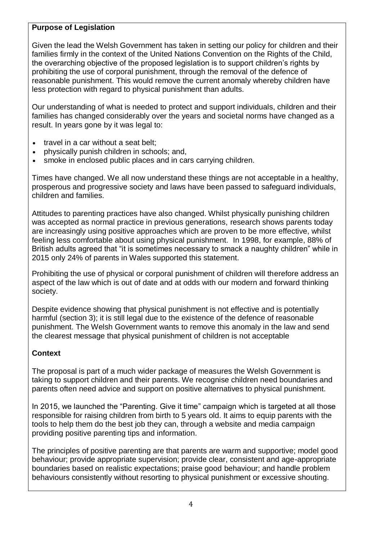### **Purpose of Legislation**

Given the lead the Welsh Government has taken in setting our policy for children and their families firmly in the context of the United Nations Convention on the Rights of the Child, the overarching objective of the proposed legislation is to support children's rights by prohibiting the use of corporal punishment, through the removal of the defence of reasonable punishment. This would remove the current anomaly whereby children have less protection with regard to physical punishment than adults.

Our understanding of what is needed to protect and support individuals, children and their families has changed considerably over the years and societal norms have changed as a result. In years gone by it was legal to:

- travel in a car without a seat belt;
- physically punish children in schools; and,
- smoke in enclosed public places and in cars carrying children.

Times have changed. We all now understand these things are not acceptable in a healthy, prosperous and progressive society and laws have been passed to safeguard individuals, children and families.

Attitudes to parenting practices have also changed. Whilst physically punishing children was accepted as normal practice in previous generations, research shows parents today are increasingly using positive approaches which are proven to be more effective, whilst feeling less comfortable about using physical punishment. In 1998, for example, 88% of British adults agreed that "it is sometimes necessary to smack a naughty children" while in 2015 only 24% of parents in Wales supported this statement.

Prohibiting the use of physical or corporal punishment of children will therefore address an aspect of the law which is out of date and at odds with our modern and forward thinking society.

Despite evidence showing that physical punishment is not effective and is potentially harmful (section 3); it is still legal due to the existence of the defence of reasonable punishment. The Welsh Government wants to remove this anomaly in the law and send the clearest message that physical punishment of children is not acceptable

## **Context**

The proposal is part of a much wider package of measures the Welsh Government is taking to support children and their parents. We recognise children need boundaries and parents often need advice and support on positive alternatives to physical punishment.

In 2015, we launched the "Parenting. Give it time" campaign which is targeted at all those responsible for raising children from birth to 5 years old. It aims to equip parents with the tools to help them do the best job they can, through a website and media campaign providing positive parenting tips and information.

The principles of positive parenting are that parents are warm and supportive; model good behaviour; provide appropriate supervision; provide clear, consistent and age-appropriate boundaries based on realistic expectations; praise good behaviour; and handle problem behaviours consistently without resorting to physical punishment or excessive shouting.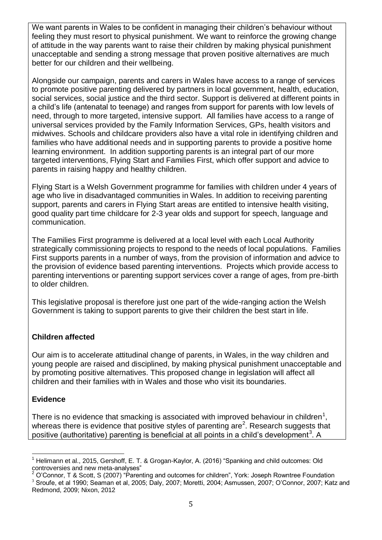We want parents in Wales to be confident in managing their children's behaviour without feeling they must resort to physical punishment. We want to reinforce the growing change of attitude in the way parents want to raise their children by making physical punishment unacceptable and sending a strong message that proven positive alternatives are much better for our children and their wellbeing.

Alongside our campaign, parents and carers in Wales have access to a range of services to promote positive parenting delivered by partners in local government, health, education, social services, social justice and the third sector. Support is delivered at different points in a child's life (antenatal to teenage) and ranges from support for parents with low levels of need, through to more targeted, intensive support. All families have access to a range of universal services provided by the Family Information Services, GPs, health visitors and midwives. Schools and childcare providers also have a vital role in identifying children and families who have additional needs and in supporting parents to provide a positive home learning environment. In addition supporting parents is an integral part of our more targeted interventions, Flying Start and Families First, which offer support and advice to parents in raising happy and healthy children.

Flying Start is a Welsh Government programme for families with children under 4 years of age who live in disadvantaged communities in Wales. In addition to receiving parenting support, parents and carers in Flying Start areas are entitled to intensive health visiting, good quality part time childcare for 2-3 year olds and support for speech, language and communication.

The Families First programme is delivered at a local level with each Local Authority strategically commissioning projects to respond to the needs of local populations. Families First supports parents in a number of ways, from the provision of information and advice to the provision of evidence based parenting interventions. Projects which provide access to parenting interventions or parenting support services cover a range of ages, from pre-birth to older children.

This legislative proposal is therefore just one part of the wide-ranging action the Welsh Government is taking to support parents to give their children the best start in life.

#### **Children affected**

Our aim is to accelerate attitudinal change of parents, in Wales, in the way children and young people are raised and disciplined, by making physical punishment unacceptable and by promoting positive alternatives. This proposed change in legislation will affect all children and their families with in Wales and those who visit its boundaries.

#### **Evidence**

There is no evidence that smacking is associated with improved behaviour in children<sup>1</sup>, whereas there is evidence that positive styles of parenting are<sup>2</sup>. Research suggests that positive (authoritative) parenting is beneficial at all points in a child's development<sup>3</sup>. A

l <sup>1</sup> Helimann et al., 2015, Gershoff, E. T. & Grogan-Kaylor, A. (2016) "Spanking and child outcomes: Old controversies and new meta-analyses"

 $2$  O'Connor, T & Scott, S (2007) "Parenting and outcomes for children", York: Joseph Rowntree Foundation

<sup>3</sup> Sroufe, et al 1990; Seaman et al, 2005; Daly, 2007; Moretti, 2004; Asmussen, 2007; O'Connor, 2007; Katz and Redmond, 2009; Nixon, 2012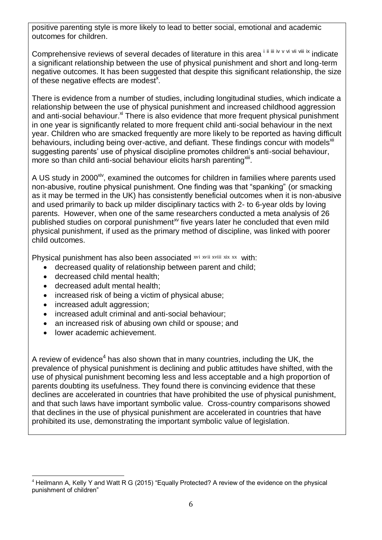positive parenting style is more likely to lead to better social, emotional and academic outcomes for children.

Comprehensive reviews of several decades of literature in this area in iii iiv v vi vii viii ix indicate a significant relationship between the use of physical punishment and short and long-term negative outcomes. It has been suggested that despite this significant relationship, the size of these negative effects are modest<sup>x</sup>.

There is evidence from a number of studies, including longitudinal studies, which indicate a relationship between the use of physical punishment and increased childhood aggression and anti-social behaviour.<sup>xi</sup> There is also evidence that more frequent physical punishment in one year is significantly related to more frequent child anti-social behaviour in the next year. Children who are smacked frequently are more likely to be reported as having difficult behaviours, including being over-active, and defiant. These findings concur with models<sup>xii</sup> suggesting parents' use of physical discipline promotes children's anti-social behaviour, more so than child anti-social behaviour elicits harsh parenting xill.

A US study in 2000<sup>xiv</sup>, examined the outcomes for children in families where parents used non-abusive, routine physical punishment. One finding was that "spanking" (or smacking as it may be termed in the UK) has consistently beneficial outcomes when it is non-abusive and used primarily to back up milder disciplinary tactics with 2- to 6-year olds by loving parents. However, when one of the same researchers conducted a meta analysis of 26 published studies on corporal punishment<sup>xy</sup> five years later he concluded that even mild physical punishment, if used as the primary method of discipline, was linked with poorer child outcomes.

Physical punishment has also been associated xvi xvii xviii xix xx with:

- decreased quality of relationship between parent and child;
- decreased child mental health;
- decreased adult mental health;
- increased risk of being a victim of physical abuse;
- increased adult aggression;
- increased adult criminal and anti-social behaviour;
- an increased risk of abusing own child or spouse; and
- lower academic achievement.

A review of evidence<sup>4</sup> has also shown that in many countries, including the UK, the prevalence of physical punishment is declining and public attitudes have shifted, with the use of physical punishment becoming less and less acceptable and a high proportion of parents doubting its usefulness. They found there is convincing evidence that these declines are accelerated in countries that have prohibited the use of physical punishment, and that such laws have important symbolic value. Cross-country comparisons showed that declines in the use of physical punishment are accelerated in countries that have prohibited its use, demonstrating the important symbolic value of legislation.

 $\overline{a}$ <sup>4</sup> Heilmann A, Kelly Y and Watt R G (2015) "Equally Protected? A review of the evidence on the physical punishment of children"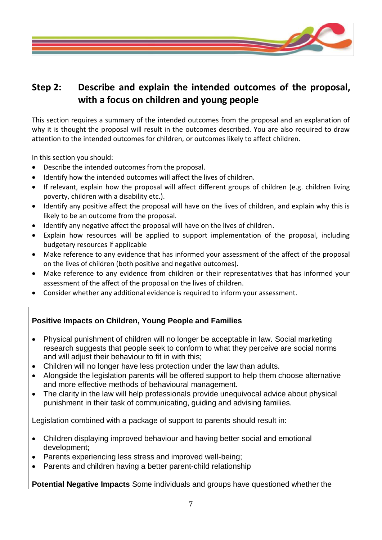

# **Step 2: Describe and explain the intended outcomes of the proposal, with a focus on children and young people**

This section requires a summary of the intended outcomes from the proposal and an explanation of why it is thought the proposal will result in the outcomes described. You are also required to draw attention to the intended outcomes for children, or outcomes likely to affect children.

In this section you should:

- Describe the intended outcomes from the proposal.
- Identify how the intended outcomes will affect the lives of children.
- If relevant, explain how the proposal will affect different groups of children (e.g. children living poverty, children with a disability etc.).
- Identify any positive affect the proposal will have on the lives of children, and explain why this is likely to be an outcome from the proposal.
- Identify any negative affect the proposal will have on the lives of children.
- Explain how resources will be applied to support implementation of the proposal, including budgetary resources if applicable
- Make reference to any evidence that has informed your assessment of the affect of the proposal on the lives of children (both positive and negative outcomes).
- Make reference to any evidence from children or their representatives that has informed your assessment of the affect of the proposal on the lives of children.
- Consider whether any additional evidence is required to inform your assessment.

## **Positive Impacts on Children, Young People and Families**

- Physical punishment of children will no longer be acceptable in law. Social marketing research suggests that people seek to conform to what they perceive are social norms and will adjust their behaviour to fit in with this;
- Children will no longer have less protection under the law than adults.
- Alongside the legislation parents will be offered support to help them choose alternative and more effective methods of behavioural management.
- The clarity in the law will help professionals provide unequivocal advice about physical punishment in their task of communicating, guiding and advising families.

Legislation combined with a package of support to parents should result in:

- Children displaying improved behaviour and having better social and emotional development;
- Parents experiencing less stress and improved well-being;
- Parents and children having a better parent-child relationship

**Potential Negative Impacts** Some individuals and groups have questioned whether the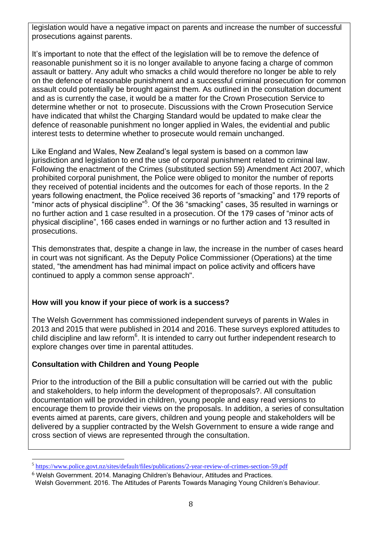legislation would have a negative impact on parents and increase the number of successful prosecutions against parents.

It's important to note that the effect of the legislation will be to remove the defence of reasonable punishment so it is no longer available to anyone facing a charge of common assault or battery. Any adult who smacks a child would therefore no longer be able to rely on the defence of reasonable punishment and a successful criminal prosecution for common assault could potentially be brought against them. As outlined in the consultation document and as is currently the case, it would be a matter for the Crown Prosecution Service to determine whether or not to prosecute. Discussions with the Crown Prosecution Service have indicated that whilst the Charging Standard would be updated to make clear the defence of reasonable punishment no longer applied in Wales, the evidential and public interest tests to determine whether to prosecute would remain unchanged.

Like England and Wales, New Zealand's legal system is based on a common law jurisdiction and legislation to end the use of corporal punishment related to criminal law. Following the enactment of the Crimes (substituted section 59) Amendment Act 2007, which prohibited corporal punishment, the Police were obliged to monitor the number of reports they received of potential incidents and the outcomes for each of those reports. In the 2 years following enactment, the Police received 36 reports of "smacking" and 179 reports of "minor acts of physical discipline"<sup>5</sup>. Of the 36 "smacking" cases, 35 resulted in warnings or no further action and 1 case resulted in a prosecution. Of the 179 cases of "minor acts of physical discipline", 166 cases ended in warnings or no further action and 13 resulted in prosecutions.

This demonstrates that, despite a change in law, the increase in the number of cases heard in court was not significant. As the Deputy Police Commissioner (Operations) at the time stated, "the amendment has had minimal impact on police activity and officers have continued to apply a common sense approach".

#### **How will you know if your piece of work is a success?**

The Welsh Government has commissioned independent surveys of parents in Wales in 2013 and 2015 that were published in 2014 and 2016. These surveys explored attitudes to child discipline and law reform<sup>6</sup>. It is intended to carry out further independent research to explore changes over time in parental attitudes.

#### **Consultation with Children and Young People**

Prior to the introduction of the Bill a public consultation will be carried out with the public and stakeholders, to help inform the development of theproposals?. All consultation documentation will be provided in children, young people and easy read versions to encourage them to provide their views on the proposals. In addition, a series of consultation events aimed at parents, care givers, children and young people and stakeholders will be delivered by a supplier contracted by the Welsh Government to ensure a wide range and cross section of views are represented through the consultation.

 $\overline{a}$ 5 <https://www.police.govt.nz/sites/default/files/publications/2-year-review-of-crimes-section-59.pdf>

 $6$  Welsh Government. 2014. Managing Children's Behaviour. Attitudes and Practices.

Welsh Government. 2016. The Attitudes of Parents Towards Managing Young Children's Behaviour.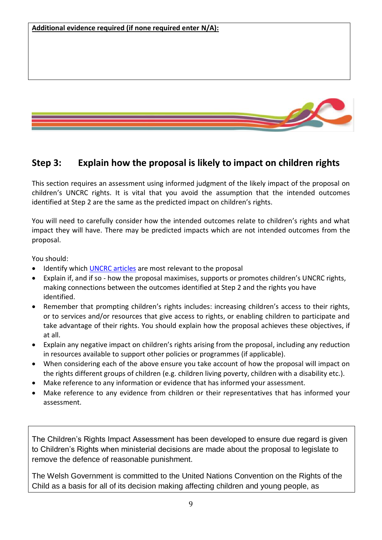

# **Step 3: Explain how the proposal is likely to impact on children rights**

This section requires an assessment using informed judgment of the likely impact of the proposal on children's UNCRC rights. It is vital that you avoid the assumption that the intended outcomes identified at Step 2 are the same as the predicted impact on children's rights.

You will need to carefully consider how the intended outcomes relate to children's rights and what impact they will have. There may be predicted impacts which are not intended outcomes from the proposal.

You should:

- Identify which [UNCRC articles](http://353ld710iigr2n4po7k4kgvv-wpengine.netdna-ssl.com/wp-content/uploads/2010/05/UNCRC_united_nations_convention_on_the_rights_of_the_child.pdf) are most relevant to the proposal
- Explain if, and if so how the proposal maximises, supports or promotes children's UNCRC rights, making connections between the outcomes identified at Step 2 and the rights you have identified.
- Remember that prompting children's rights includes: increasing children's access to their rights, or to services and/or resources that give access to rights, or enabling children to participate and take advantage of their rights. You should explain how the proposal achieves these objectives, if at all.
- Explain any negative impact on children's rights arising from the proposal, including any reduction in resources available to support other policies or programmes (if applicable).
- When considering each of the above ensure you take account of how the proposal will impact on the rights different groups of children (e.g. children living poverty, children with a disability etc.).
- Make reference to any information or evidence that has informed your assessment.
- Make reference to any evidence from children or their representatives that has informed your assessment.

The Children's Rights Impact Assessment has been developed to ensure due regard is given to Children's Rights when ministerial decisions are made about the proposal to legislate to remove the defence of reasonable punishment.

The Welsh Government is committed to the United Nations Convention on the Rights of the Child as a basis for all of its decision making affecting children and young people, as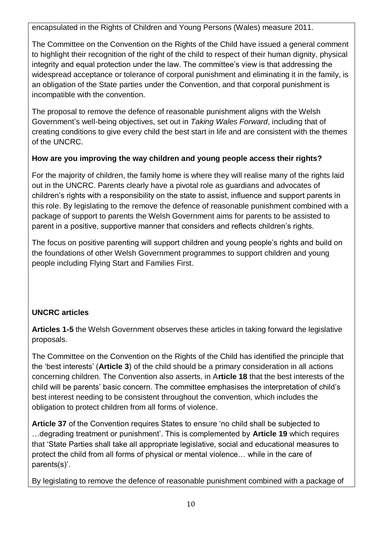encapsulated in the Rights of Children and Young Persons (Wales) measure 2011.

The Committee on the Convention on the Rights of the Child have issued a general comment to highlight their recognition of the right of the child to respect of their human dignity, physical integrity and equal protection under the law. The committee's view is that addressing the widespread acceptance or tolerance of corporal punishment and eliminating it in the family, is an obligation of the State parties under the Convention, and that corporal punishment is incompatible with the convention.

The proposal to remove the defence of reasonable punishment aligns with the Welsh Government's well-being objectives, set out in *Taking Wales Forward*, including that of creating conditions to give every child the best start in life and are consistent with the themes of the UNCRC.

### **How are you improving the way children and young people access their rights?**

For the majority of children, the family home is where they will realise many of the rights laid out in the UNCRC. Parents clearly have a pivotal role as guardians and advocates of children's rights with a responsibility on the state to assist, influence and support parents in this role. By legislating to the remove the defence of reasonable punishment combined with a package of support to parents the Welsh Government aims for parents to be assisted to parent in a positive, supportive manner that considers and reflects children's rights.

The focus on positive parenting will support children and young people's rights and build on the foundations of other Welsh Government programmes to support children and young people including Flying Start and Families First.

## **UNCRC articles**

**Articles 1-5** the Welsh Government observes these articles in taking forward the legislative proposals.

The Committee on the Convention on the Rights of the Child has identified the principle that the 'best interests' (**Article 3**) of the child should be a primary consideration in all actions concerning children. The Convention also asserts, in A**rticle 18** that the best interests of the child will be parents' basic concern. The committee emphasises the interpretation of child's best interest needing to be consistent throughout the convention, which includes the obligation to protect children from all forms of violence.

**Article 37** of the Convention requires States to ensure 'no child shall be subjected to …degrading treatment or punishment'. This is complemented by **Article 19** which requires that 'State Parties shall take all appropriate legislative, social and educational measures to protect the child from all forms of physical or mental violence… while in the care of parents(s)'.

By legislating to remove the defence of reasonable punishment combined with a package of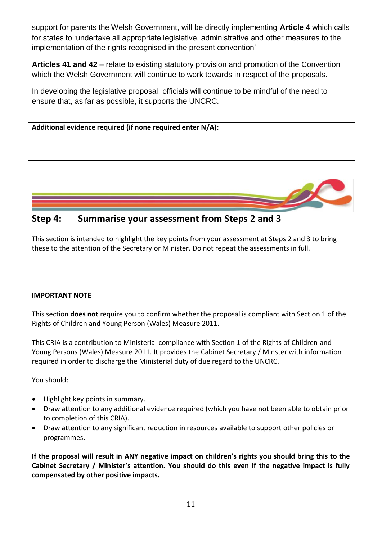support for parents the Welsh Government, will be directly implementing **Article 4** which calls for states to 'undertake all appropriate legislative, administrative and other measures to the implementation of the rights recognised in the present convention'

**Articles 41 and 42** – relate to existing statutory provision and promotion of the Convention which the Welsh Government will continue to work towards in respect of the proposals.

In developing the legislative proposal, officials will continue to be mindful of the need to ensure that, as far as possible, it supports the UNCRC.





# **Step 4: Summarise your assessment from Steps 2 and 3**

This section is intended to highlight the key points from your assessment at Steps 2 and 3 to bring these to the attention of the Secretary or Minister. Do not repeat the assessments in full.

#### **IMPORTANT NOTE**

This section **does not** require you to confirm whether the proposal is compliant with Section 1 of the Rights of Children and Young Person (Wales) Measure 2011.

This CRIA is a contribution to Ministerial compliance with Section 1 of the Rights of Children and Young Persons (Wales) Measure 2011. It provides the Cabinet Secretary / Minster with information required in order to discharge the Ministerial duty of due regard to the UNCRC.

You should:

- Highlight key points in summary.
- Draw attention to any additional evidence required (which you have not been able to obtain prior to completion of this CRIA).
- Draw attention to any significant reduction in resources available to support other policies or programmes.

**If the proposal will result in ANY negative impact on children's rights you should bring this to the Cabinet Secretary / Minister's attention. You should do this even if the negative impact is fully compensated by other positive impacts.**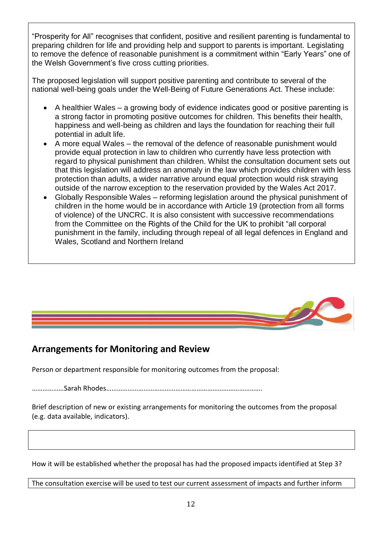"Prosperity for All" recognises that confident, positive and resilient parenting is fundamental to preparing children for life and providing help and support to parents is important. Legislating to remove the defence of reasonable punishment is a commitment within "Early Years" one of the Welsh Government's five cross cutting priorities.

The proposed legislation will support positive parenting and contribute to several of the national well-being goals under the Well-Being of Future Generations Act. These include:

- A healthier Wales a growing body of evidence indicates good or positive parenting is a strong factor in promoting positive outcomes for children. This benefits their health, happiness and well-being as children and lays the foundation for reaching their full potential in adult life.
- A more equal Wales the removal of the defence of reasonable punishment would provide equal protection in law to children who currently have less protection with regard to physical punishment than children. Whilst the consultation document sets out that this legislation will address an anomaly in the law which provides children with less protection than adults, a wider narrative around equal protection would risk straying outside of the narrow exception to the reservation provided by the Wales Act 2017.
- Globally Responsible Wales reforming legislation around the physical punishment of children in the home would be in accordance with Article 19 (protection from all forms of violence) of the UNCRC. It is also consistent with successive recommendations from the Committee on the Rights of the Child for the UK to prohibit "all corporal punishment in the family, including through repeal of all legal defences in England and Wales, Scotland and Northern Ireland



# **Arrangements for Monitoring and Review**

Person or department responsible for monitoring outcomes from the proposal:

………………Sarah Rhodes…………………………………………………………………………….

Brief description of new or existing arrangements for monitoring the outcomes from the proposal (e.g. data available, indicators).

How it will be established whether the proposal has had the proposed impacts identified at Step 3?

The consultation exercise will be used to test our current assessment of impacts and further inform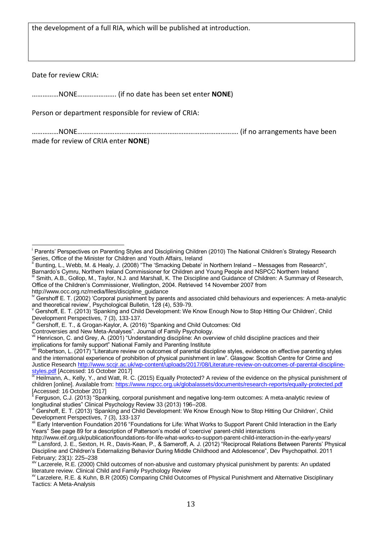the development of a full RIA, which will be published at introduction.

Date for review CRIA:

l

……………NONE…………………. (if no date has been set enter **NONE**)

Person or department responsible for review of CRIA:

……………NONE………………………………………………………………………………. (if no arrangements have been made for review of CRIA enter **NONE**)

Gershoff, E. T., & Grogan-Kaylor, A. (2016) "Spanking and Child Outcomes: Old

Controversies and New Meta-Analyses". Journal of Family Psychology.

Parents' Perspectives on Parenting Styles and Disciplining Children (2010) The National Children's Strategy Research Series, Office of the Minister for Children and Youth Affairs, Ireland

Bunting, L., Webb, M. & Healy, J. (2008) "The 'Smacking Debate' in Northern Ireland – Messages from Research", Barnardo's Cymru, Northern Ireland Commissioner for Children and Young People and NSPCC Northern Ireland

Smith, A.B., Gollop, M., Taylor, N.J. and Marshall, K. The Discipline and Guidance of Children: A Summary of Research, Office of the Children's Commissioner, Wellington, 2004. Retrieved 14 November 2007 from http://www.occ.org.nz/media/files/discipline\_guidance

Gershoff E. T. (2002) 'Corporal punishment by parents and associated child behaviours and experiences: A meta-analytic and theoretical review', Psychological Bulletin, 128 (4), 539-79.

Gershoff, E. T. (2013) 'Spanking and Child Development: We Know Enough Now to Stop Hitting Our Children', Child Development Perspectives, 7 (3), 133-137.

Henricson, C. and Grey, A. (2001) "Understanding discipline: An overview of child discipline practices and their implications for family support" National Family and Parenting Institute

Robertson, L. (2017) "Literature review on outcomes of parental discipline styles, evidence on effective parenting styles and the international experience of prohibition of physical punishment in law". Glasgow: Scottish Centre for Crime and Justice Research [http://www.sccjr.ac.uk/wp-content/uploads/2017/08/Literature-review-on-outcomes-of-parental-discipline](http://www.sccjr.ac.uk/wp-content/uploads/2017/08/Literature-review-on-outcomes-of-parental-discipline-styles.pdf)<u>[styles.pdf](http://www.sccjr.ac.uk/wp-content/uploads/2017/08/Literature-review-on-outcomes-of-parental-discipline-styles.pdf)</u> [Accessed: 16 October 2017]

<sup>&</sup>lt;sup>ix</sup> Heilmann, A., Kelly, Y., and Watt, R. C. (2015) Equally Protected? A review of the evidence on the physical punishment of children [online]. Available from[: https://www.nspcc.org.uk/globalassets/documents/research-reports/equally-protected.pdf](https://www.nspcc.org.uk/globalassets/documents/research-reports/equally-protected.pdf) [Accessed: 16 October 2017]

x Ferguson, C.J. (2013) "Spanking, corporal punishment and negative long-term outcomes: A meta-analytic review of longitudinal studies" Clinical Psychology Review 33 (2013) 196–208.

Gershoff, E. T. (2013) 'Spanking and Child Development: We Know Enough Now to Stop Hitting Our Children', Child Development Perspectives, 7 (3), 133-137

xii Early Intervention Foundation 2016 "Foundations for Life: What Works to Support Parent Child Interaction in the Early Years" See page 89 for a description of Patterson's model of 'coercive' parent-child interactions

http://www.eif.org.uk/publication/foundations-for-life-what-works-to-support-parent-child-interaction-in-the-early-years/ Lansford, J. E., Sexton, H. R., Davis-Kean, P., & Sameroff, A. J. (2012) "Reciprocal Relations Between Parents' Physical Discipline and Children's Externalizing Behavior During Middle Childhood and Adolescence", Dev Psychopathol. 2011 February; 23(1): 225–238

xiv Larzerele, R.E. (2000) Child outcomes of non-abusive and customary physical punishment by parents: An updated literature review. Clinical Child and Family Psychology Review

xv Larzelere, R.E. & Kuhn, B.R (2005) Comparing Child Outcomes of Physical Punishment and Alternative Disciplinary Tactics: A Meta-Analysis